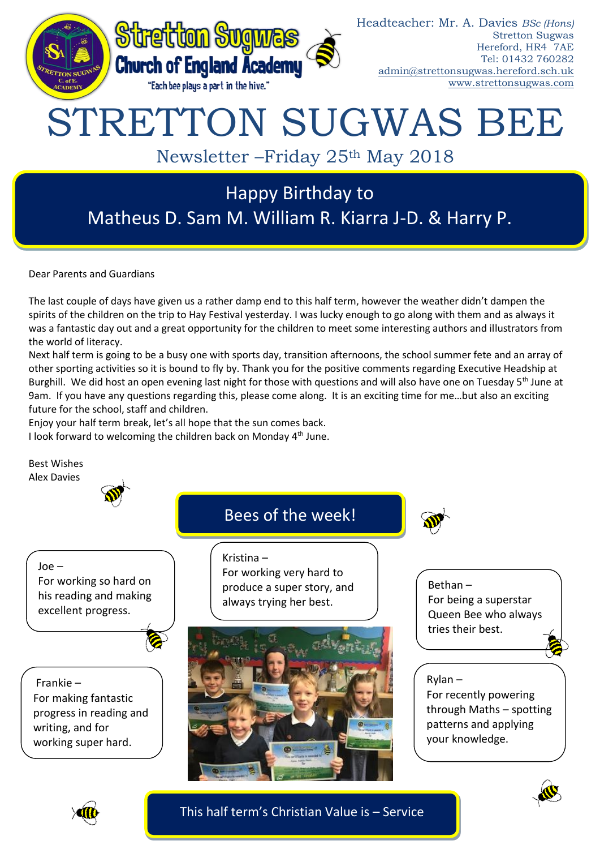

Dear Parents and Guardians

The last couple of days have given us a rather damp end to this half term, however the weather didn't dampen the spirits of the children on the trip to Hay Festival yesterday. I was lucky enough to go along with them and as always it was a fantastic day out and a great opportunity for the children to meet some interesting authors and illustrators from the world of literacy.

Next half term is going to be a busy one with sports day, transition afternoons, the school summer fete and an array of other sporting activities so it is bound to fly by. Thank you for the positive comments regarding Executive Headship at Burghill. We did host an open evening last night for those with questions and will also have one on Tuesday 5<sup>th</sup> June at 9am. If you have any questions regarding this, please come along. It is an exciting time for me…but also an exciting future for the school, staff and children.

Enjoy your half term break, let's all hope that the sun comes back. I look forward to welcoming the children back on Monday  $4<sup>th</sup>$  June.

Best Wishes





This half term's Christian Value is – Service